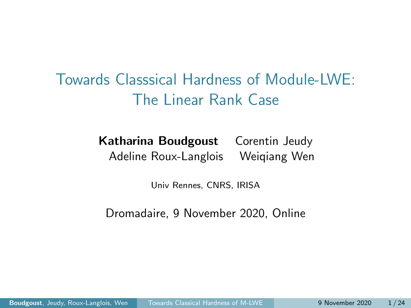<span id="page-0-0"></span>Towards Classsical Hardness of Module-LWE: The Linear Rank Case

> Katharina Boudgoust Corentin Jeudy Adeline Roux-Langlois Weiqiang Wen

> > Univ Rennes, CNRS, IRISA

Dromadaire, 9 November 2020, Online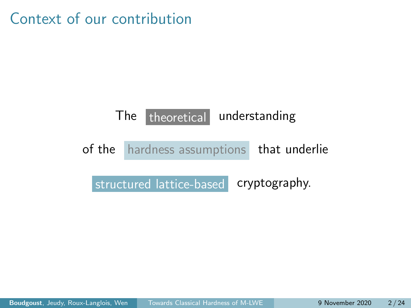Context of our contribution

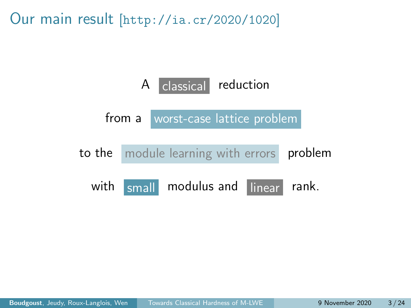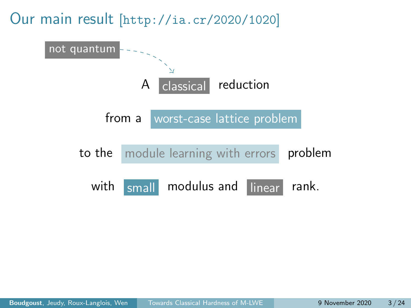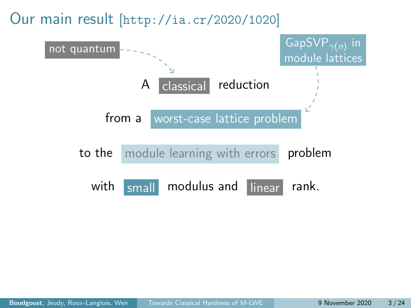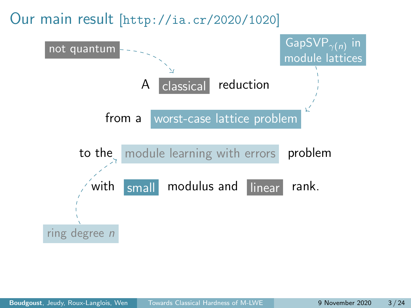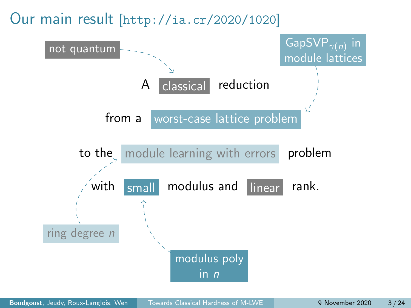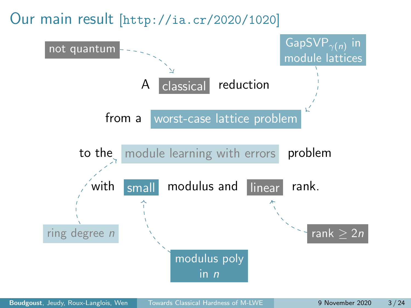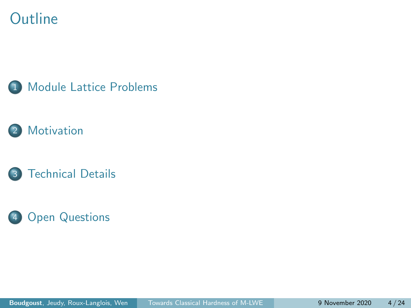#### **Outline**







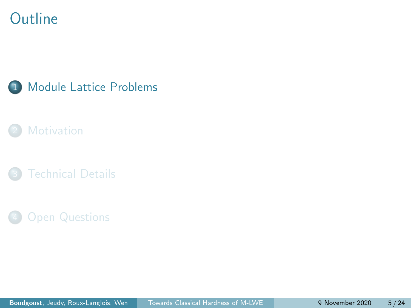#### <span id="page-9-0"></span>**Outline**



#### **[Motivation](#page-27-0)**

**[Technical Details](#page-35-0)** 

#### **[Open Questions](#page-53-0)**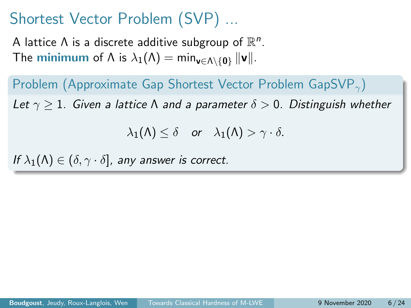A lattice  $\Lambda$  is a discrete additive subgroup of  $\mathbb{R}^n$ . The **minimum** of  $\Lambda$  is  $\lambda_1(\Lambda) = \min_{\mathbf{v} \in \Lambda \setminus \{0\}} ||\mathbf{v}||.$ 

Problem (Approximate Gap Shortest Vector Problem GapSVP<sub> $\gamma$ </sub>) Let  $\gamma > 1$ . Given a lattice  $\Lambda$  and a parameter  $\delta > 0$ . Distinguish whether

 $\lambda_1(\Lambda) \leq \delta$  or  $\lambda_1(\Lambda) > \gamma \cdot \delta$ .

If  $\lambda_1(\Lambda) \in (\delta, \gamma \cdot \delta]$ , any answer is correct.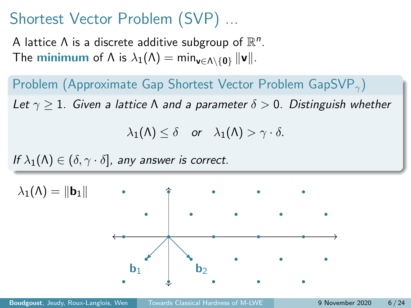A lattice  $\Lambda$  is a discrete additive subgroup of  $\mathbb{R}^n$ . The **minimum** of  $\Lambda$  is  $\lambda_1(\Lambda) = \min_{\mathbf{v} \in \Lambda \setminus \{0\}} ||\mathbf{v}||.$ 

Problem (Approximate Gap Shortest Vector Problem GapSVP $_{\gamma}$ ) Let  $\gamma > 1$ . Given a lattice  $\Lambda$  and a parameter  $\delta > 0$ . Distinguish whether

 $\lambda_1(\Lambda) \leq \delta$  or  $\lambda_1(\Lambda) > \gamma \cdot \delta$ .

If  $\lambda_1(\Lambda) \in (\delta, \gamma \cdot \delta]$ , any answer is correct.

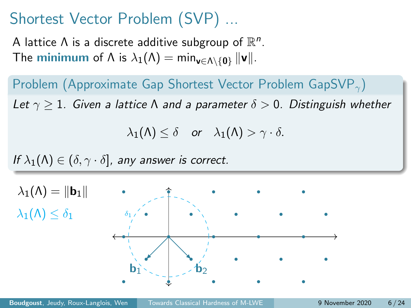A lattice  $\Lambda$  is a discrete additive subgroup of  $\mathbb{R}^n$ . The **minimum** of  $\Lambda$  is  $\lambda_1(\Lambda) = \min_{\mathbf{v} \in \Lambda \setminus \{0\}} ||\mathbf{v}||.$ 

Problem (Approximate Gap Shortest Vector Problem GapSVP $_{\gamma}$ ) Let  $\gamma > 1$ . Given a lattice  $\Lambda$  and a parameter  $\delta > 0$ . Distinguish whether

 $\lambda_1(\Lambda) \leq \delta$  or  $\lambda_1(\Lambda) > \gamma \cdot \delta$ .

If  $\lambda_1(\Lambda) \in (\delta, \gamma \cdot \delta]$ , any answer is correct.

 $\mathbf{b}_1$   $\mathbf{b}_2$   $\mathbf{b}_3$  $\lambda_1(\Lambda) = \|\mathbf{b}_1\|$  $\lambda_1(\Lambda) < \delta_1$  $\delta_1$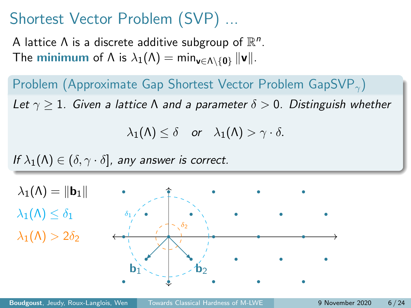A lattice  $\Lambda$  is a discrete additive subgroup of  $\mathbb{R}^n$ . The **minimum** of  $\Lambda$  is  $\lambda_1(\Lambda) = \min_{\mathbf{v} \in \Lambda \setminus \{0\}} ||\mathbf{v}||.$ 

Problem (Approximate Gap Shortest Vector Problem GapSVP $_{\gamma}$ ) Let  $\gamma > 1$ . Given a lattice  $\Lambda$  and a parameter  $\delta > 0$ . Distinguish whether

 $\lambda_1(\Lambda) \leq \delta$  or  $\lambda_1(\Lambda) > \gamma \cdot \delta$ .

If  $\lambda_1(\Lambda) \in (\delta, \gamma \cdot \delta]$ , any answer is correct.

 $\mathbf{b}_1$   $\mathbf{b}_2$   $\mathbf{b}_3$  $\lambda_1(\Lambda) = ||\mathbf{b}_1||$  $\lambda_1(\Lambda) \leq \delta_1$  $\delta_1$  $\delta_2$  $\lambda_1(\Lambda) > 2\delta_2$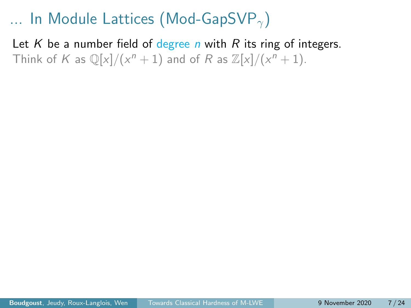Let K be a number field of degree n with R its ring of integers. Think of K as  $\mathbb{Q}[x]/(x^n + 1)$  and of R as  $\mathbb{Z}[x]/(x^n + 1)$ .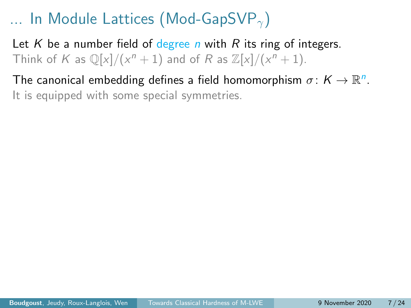Let K be a number field of degree n with R its ring of integers. Think of K as  $\mathbb{Q}[x]/(x^n + 1)$  and of R as  $\mathbb{Z}[x]/(x^n + 1)$ .

The canonical embedding defines a field homomorphism  $\sigma \colon K \to \mathbb{R}^n$ . It is equipped with some special symmetries.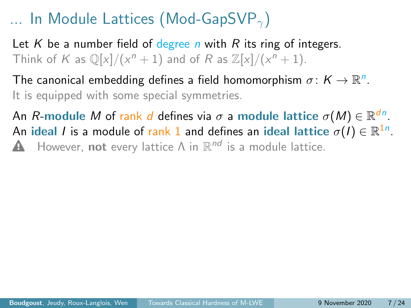Let K be a number field of degree n with R its ring of integers. Think of K as  $\mathbb{Q}[x]/(x^n + 1)$  and of R as  $\mathbb{Z}[x]/(x^n + 1)$ .

The canonical embedding defines a field homomorphism  $\sigma \colon K \to \mathbb{R}^n$ . It is equipped with some special symmetries.

An  $R\textrm{-module }M$  of  $\textrm{rank }d$  defines via  $\sigma$  a module lattice  $\sigma(M)\in \mathbb{R}^{dn}.$ An ideal  $I$  is a module of  $\mathsf{rank}\,1$  and defines an ideal lattice  $\sigma(I)\in\mathbb{R}^{1n}$ . **A** However, not every lattice  $\Lambda$  in  $\mathbb{R}^{nd}$  is a module lattice.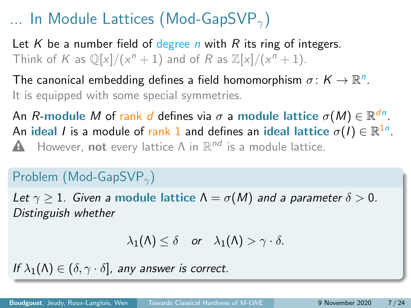Let K be a number field of degree n with R its ring of integers. Think of K as  $\mathbb{Q}[x]/(x^n + 1)$  and of R as  $\mathbb{Z}[x]/(x^n + 1)$ .

The canonical embedding defines a field homomorphism  $\sigma \colon K \to \mathbb{R}^n$ . It is equipped with some special symmetries.

An  $R\textrm{-module }M$  of  $\textrm{rank }d$  defines via  $\sigma$  a module lattice  $\sigma(M)\in \mathbb{R}^{dn}.$ An ideal  $I$  is a module of  $\mathsf{rank}\,1$  and defines an ideal lattice  $\sigma(I)\in\mathbb{R}^{1n}$ . **A** However, not every lattice  $\Lambda$  in  $\mathbb{R}^{nd}$  is a module lattice.

#### Problem (Mod-GapSVP<sub> $\gamma$ </sub>)

Let  $\gamma > 1$ . Given a module lattice  $\Lambda = \sigma(M)$  and a parameter  $\delta > 0$ . Distinguish whether

$$
\lambda_1(\Lambda) \leq \delta \quad \text{or} \quad \lambda_1(\Lambda) > \gamma \cdot \delta.
$$

If  $\lambda_1(\Lambda) \in (\delta, \gamma \cdot \delta]$ , any answer is correct.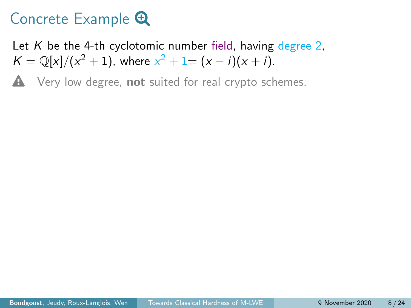Let K be the 4-th cyclotomic number field, having degree 2.  $K = \mathbb{Q}[x]/(x^2 + 1)$ , where  $x^2 + 1 = (x - i)(x + i)$ .

 $\triangle$  Very low degree, not suited for real crypto schemes.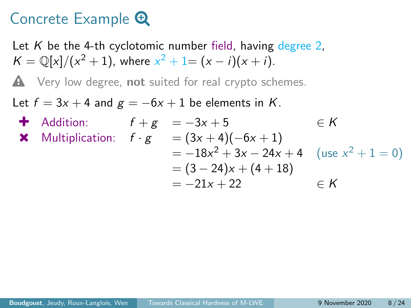Let K be the 4-th cyclotomic number field, having degree 2.  $K = \mathbb{Q}[x]/(x^2 + 1)$ , where  $x^2 + 1 = (x - i)(x + i)$ .

 $\triangle$  Very low degree, not suited for real crypto schemes.

Let  $f = 3x + 4$  and  $g = -6x + 1$  be elements in K.

4 Addition:

\n
$$
f + g = -3x + 5 \qquad \in K
$$
\n★ Multiplication:

\n
$$
f \cdot g = (3x + 4)(-6x + 1)
$$
\n
$$
= -18x^{2} + 3x - 24x + 4 \quad (\text{use } x^{2} + 1 = 0)
$$
\n
$$
= (3 - 24)x + (4 + 18)
$$
\n
$$
= -21x + 22 \qquad \in K
$$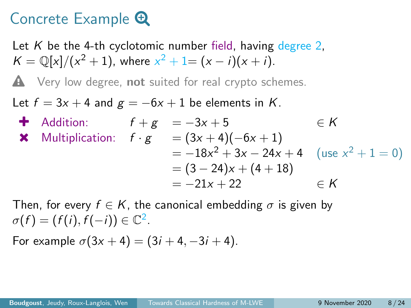Let K be the 4-th cyclotomic number field, having degree 2.  $K = \mathbb{Q}[x]/(x^2 + 1)$ , where  $x^2 + 1 = (x - i)(x + i)$ .

 $\triangle$  Very low degree, not suited for real crypto schemes.

Let  $f = 3x + 4$  and  $g = -6x + 1$  be elements in K.

4 Addition:

\n
$$
f + g = -3x + 5 \qquad \in K
$$
\n★ Multiplication:

\n
$$
f \cdot g = (3x + 4)(-6x + 1)
$$
\n
$$
= -18x^{2} + 3x - 24x + 4 \quad (\text{use } x^{2} + 1 = 0)
$$
\n
$$
= (3 - 24)x + (4 + 18)
$$
\n
$$
= -21x + 22 \qquad \in K
$$

Then, for every  $f \in K$ , the canonical embedding  $\sigma$  is given by  $\sigma(f) = (f(i), f(-i)) \in \mathbb{C}^2$ .

For example  $\sigma(3x + 4) = (3i + 4, -3i + 4)$ .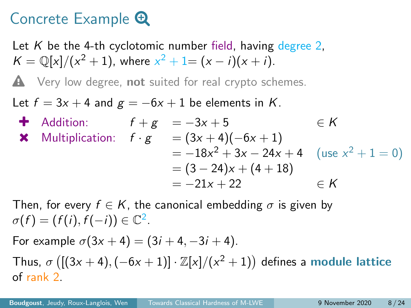Let K be the 4-th cyclotomic number field, having degree 2.  $K = \mathbb{Q}[x]/(x^2 + 1)$ , where  $x^2 + 1 = (x - i)(x + i)$ .

 $\triangle$  Very low degree, not suited for real crypto schemes.

Let  $f = 3x + 4$  and  $g = -6x + 1$  be elements in K.

4 Addition:

\n
$$
f + g = -3x + 5 \qquad \in K
$$
\n★ Multiplication:

\n
$$
f \cdot g = (3x + 4)(-6x + 1)
$$
\n
$$
= -18x^{2} + 3x - 24x + 4 \quad (\text{use } x^{2} + 1 = 0)
$$
\n
$$
= (3 - 24)x + (4 + 18)
$$
\n
$$
= -21x + 22 \qquad \in K
$$

Then, for every  $f \in K$ , the canonical embedding  $\sigma$  is given by  $\sigma(f) = (f(i), f(-i)) \in \mathbb{C}^2$ .

For example  $\sigma(3x + 4) = (3i + 4, -3i + 4)$ . Thus,  $\sigma$  ([(3x + 4), (-6x + 1)]  $\cdot \mathbb{Z}[x]/(x^2+1)$ ) defines a module lattice of rank 2.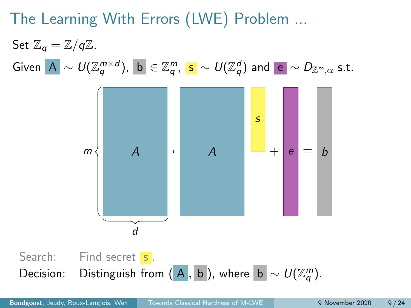# The Learning With Errors (LWE) Problem ...

Set  $\mathbb{Z}_q = \mathbb{Z}/q\mathbb{Z}$ .  $\mathsf{Given}\,\,\big|\mathsf{A}\big|\sim \mathsf{U}(\mathbb{Z}_q^{m\times d}),\,\,\big|\mathsf{b}\big|\in\mathbb{Z}_q^m,\,\,\mathsf{s}\,\sim \mathsf{U}(\mathbb{Z}_q^d)\,\,\mathsf{and}\,\,\big|\mathsf{e}\big|\sim \mathsf{D}_{\mathbb{Z}^m,\alpha}\,\,\mathsf{s.t.}$ 

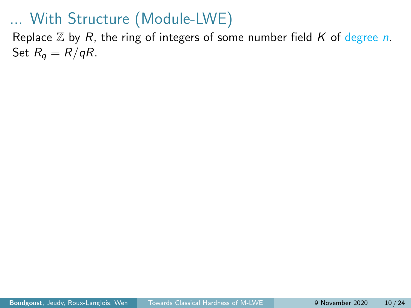Replace  $\mathbb Z$  by R, the ring of integers of some number field K of degree n. Set  $R_q = R/qR$ .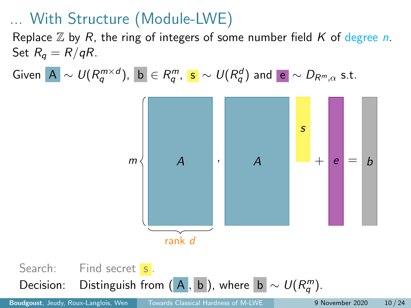Replace  $\mathbb Z$  by R, the ring of integers of some number field K of degree n. Set  $R_q = R/qR$ .

Given  $|{\mathbf A}| \sim \mathit{U} (R_q^{m \times d})$ ,  $|{\mathbf b}| \in R_q^m$ ,  $|{\mathbf s}| \sim \mathit{U} (R_q^d)$  and  $|{\mathbf e}| \sim D_{R^m, \alpha}$  s.t.



Search: Find secret s. Decision: Distinguish from  $(A, b)$ , where  $|b| \sim U(R_q^m)$ .

Boudgoust, Jeudy, Roux-Langlois, Wen [Towards Classical Hardness of M-LWE](#page-0-0) 9 November 2020 10 / 24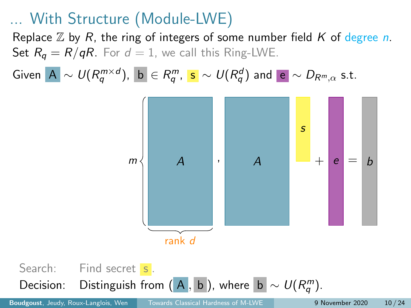Replace  $\mathbb Z$  by R, the ring of integers of some number field K of degree n. Set  $R_q = R/qR$ . For  $d = 1$ , we call this Ring-LWE.

Given  $|{\mathbf A}| \sim \mathit{U} (R_q^{m \times d})$ ,  $|{\mathbf b}| \in R_q^m$ ,  $|{\mathbf s}| \sim \mathit{U} (R_q^d)$  and  $|{\mathbf e}| \sim D_{R^m, \alpha}$  s.t.



Search: Find secret s. Decision: Distinguish from  $(\overline{A}, \overline{b})$ , where  $\overline{b} \sim U(R_q^m)$ .

Boudgoust, Jeudy, Roux-Langlois, Wen [Towards Classical Hardness of M-LWE](#page-0-0) 9 November 2020 10 / 24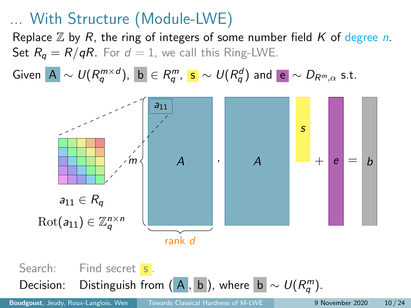Replace  $\mathbb Z$  by R, the ring of integers of some number field K of degree n. Set  $R_q = R/qR$ . For  $d = 1$ , we call this Ring-LWE.

Given  $|{\mathbf A}| \sim \mathit{U} (R_q^{m \times d})$ ,  $|{\mathbf b}| \in R_q^m$ ,  $|{\mathbf s}| \sim \mathit{U} (R_q^d)$  and  $|{\mathbf e}| \sim D_{R^m, \alpha}$  s.t.



Search: Find secret s. Decision: Distinguish from  $(\overline{A}, \overline{b})$ , where  $\overline{b} \sim U(R_q^m)$ .

Boudgoust, Jeudy, Roux-Langlois, Wen [Towards Classical Hardness of M-LWE](#page-0-0) 9 November 2020 10 / 24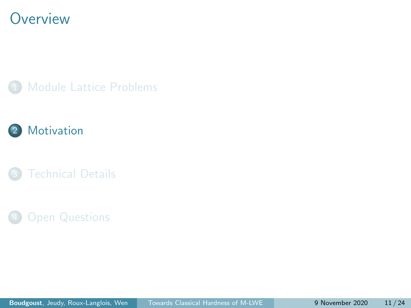#### <span id="page-27-0"></span>**Overview**







#### **[Open Questions](#page-53-0)**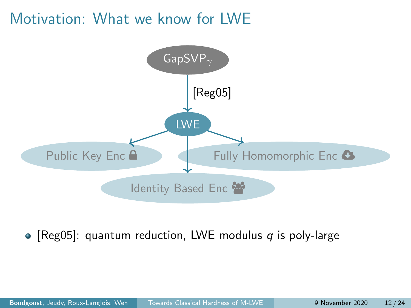#### Motivation: What we know for LWE



• [\[Reg05\]](#page-57-0): quantum reduction, LWE modulus  $q$  is poly-large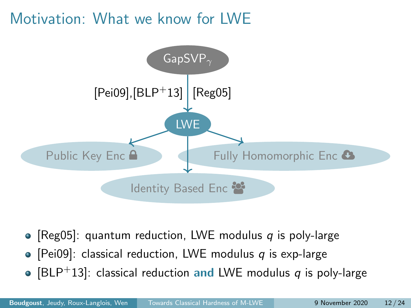#### Motivation: What we know for LWE



- [\[Reg05\]](#page-57-0): quantum reduction, LWE modulus q is poly-large
- [\[Pei09\]](#page-56-1): classical reduction, LWE modulus q is exp-large
- [\[BLP](#page-56-2)<sup>+</sup>13]: classical reduction and LWE modulus q is poly-large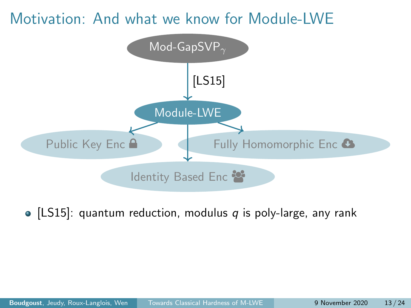#### Motivation: And what we know for Module-LWE



• [\[LS15\]](#page-56-3): quantum reduction, modulus  $q$  is poly-large, any rank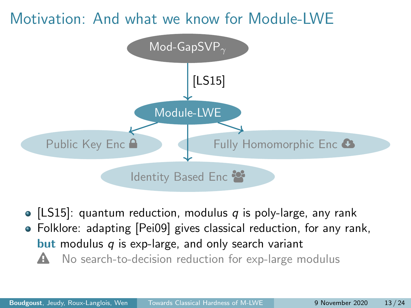#### Motivation: And what we know for Module-LWE



• [\[LS15\]](#page-56-3): quantum reduction, modulus  $q$  is poly-large, any rank Folklore: adapting [\[Pei09\]](#page-56-1) gives classical reduction, for any rank, **but** modulus  $q$  is exp-large, and only search variant  $\triangle$  No search-to-decision reduction for exp-large modulus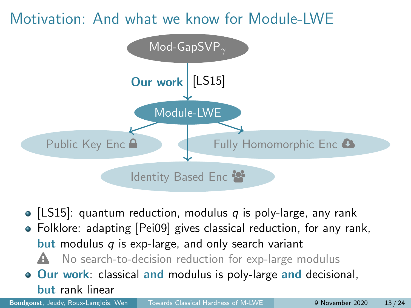#### Motivation: And what we know for Module-LWE



- [\[LS15\]](#page-56-3): quantum reduction, modulus  $q$  is poly-large, any rank
- Folklore: adapting [\[Pei09\]](#page-56-1) gives classical reduction, for any rank, **but** modulus  $q$  is exp-large, and only search variant
	- $\triangle$  No search-to-decision reduction for exp-large modulus
- **Our work:** classical and modulus is poly-large and decisional, but rank linear

Boudgoust, Jeudy, Roux-Langlois, Wen [Towards Classical Hardness of M-LWE](#page-0-0) 9 November 2020 13/24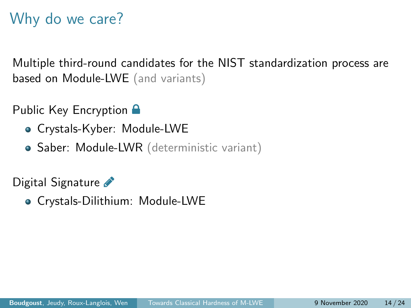# Why do we care?

Multiple third-round candidates for the NIST standardization process are based on Module-LWE (and variants)

Public Key Encryption **A** 

- Crystals-Kyber: Module-LWE
- Saber: Module-LWR (deterministic variant)

Digital Signature

Crystals-Dilithium: Module-LWE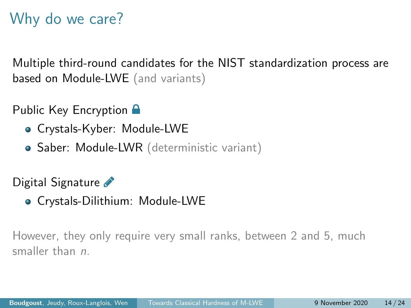# Why do we care?

Multiple third-round candidates for the NIST standardization process are based on Module-LWE (and variants)

Public Key Encryption **A** 

- Crystals-Kyber: Module-LWE
- Saber: Module-LWR (deterministic variant)

Digital Signature

Crystals-Dilithium: Module-LWE

However, they only require very small ranks, between 2 and 5, much smaller than *n*.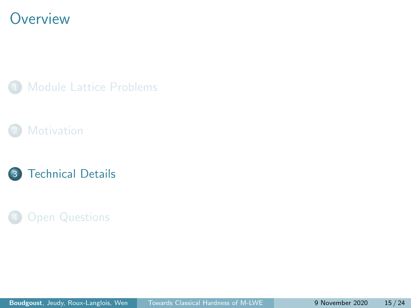#### <span id="page-35-0"></span>**Overview**







#### **[Open Questions](#page-53-0)**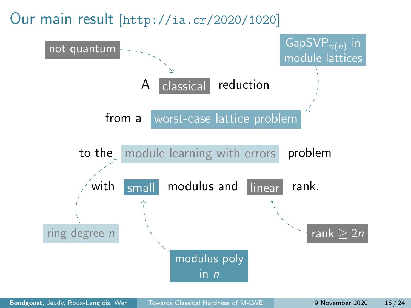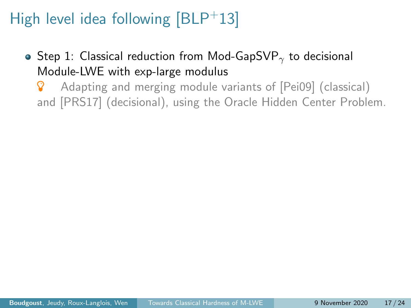- Step 1: Classical reduction from Mod-GapSVP<sub> $\gamma$ </sub> to decisional Module-LWE with exp-large modulus
	- **8** Adapting and merging module variants of [\[Pei09\]](#page-56-1) (classical) and [\[PRS17\]](#page-57-1) (decisional), using the Oracle Hidden Center Problem.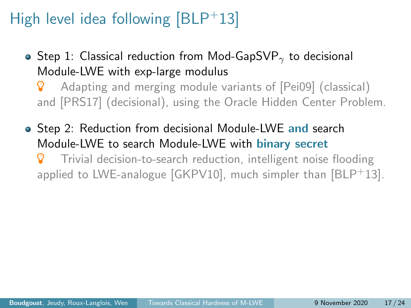• Step 1: Classical reduction from Mod-GapSVP<sub> $\gamma$ </sub> to decisional Module-LWE with exp-large modulus

**8** Adapting and merging module variants of [\[Pei09\]](#page-56-1) (classical) and [\[PRS17\]](#page-57-1) (decisional), using the Oracle Hidden Center Problem.

• Step 2: Reduction from decisional Module-LWE and search Module-LWE to search Module-LWE with binary secret

 Trivial decision-to-search reduction, intelligent noise flooding applied to LWE-analogue  $GKPV10$ , much simpler than  $BLP<sup>+</sup>13$ .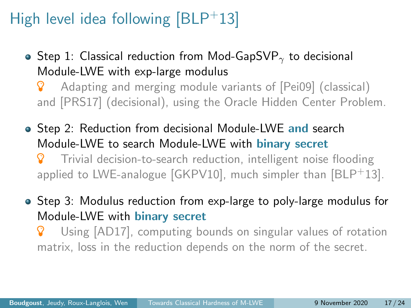- Step 1: Classical reduction from Mod-GapSVP<sub> $\gamma$ </sub> to decisional Module-LWE with exp-large modulus
	- **8** Adapting and merging module variants of [\[Pei09\]](#page-56-1) (classical) and [\[PRS17\]](#page-57-1) (decisional), using the Oracle Hidden Center Problem.
- Step 2: Reduction from decisional Module-LWE and search Module-LWE to search Module-LWE with binary secret Trivial decision-to-search reduction, intelligent noise flooding applied to LWE-analogue  $[GKPV10]$ , much simpler than  $[BLP<sup>+</sup>13]$  $[BLP<sup>+</sup>13]$ .
- Step 3: Modulus reduction from exp-large to poly-large modulus for Module-LWE with binary secret
	- Using [\[AD17\]](#page-56-5), computing bounds on singular values of rotation matrix, loss in the reduction depends on the norm of the secret.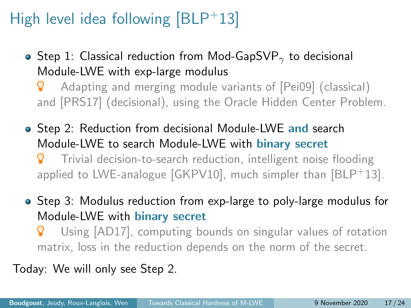- Step 1: Classical reduction from Mod-GapSVP<sub> $\gamma$ </sub> to decisional Module-LWE with exp-large modulus
	- **8** Adapting and merging module variants of [\[Pei09\]](#page-56-1) (classical) and [\[PRS17\]](#page-57-1) (decisional), using the Oracle Hidden Center Problem.
- Step 2: Reduction from decisional Module-LWE and search Module-LWE to search Module-LWE with binary secret Trivial decision-to-search reduction, intelligent noise flooding applied to LWE-analogue  $[GKPV10]$ , much simpler than  $[BLP<sup>+</sup>13]$  $[BLP<sup>+</sup>13]$ .
- Step 3: Modulus reduction from exp-large to poly-large modulus for Module-LWE with binary secret
	- Using [\[AD17\]](#page-56-5), computing bounds on singular values of rotation matrix, loss in the reduction depends on the norm of the secret.

Today: We will only see Step 2.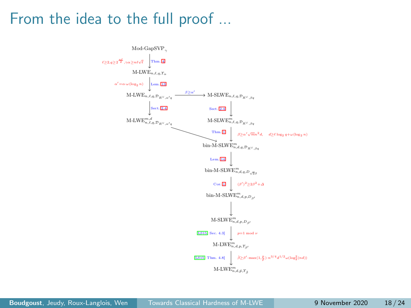#### From the idea to the full proof ...

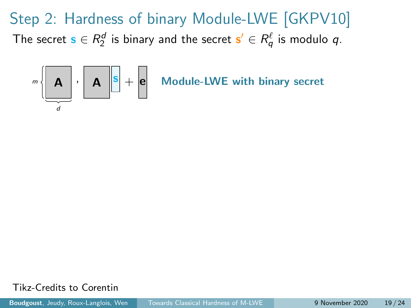

Tikz-Credits to Corentin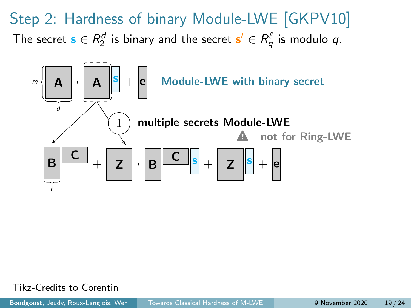

Tikz-Credits to Corentin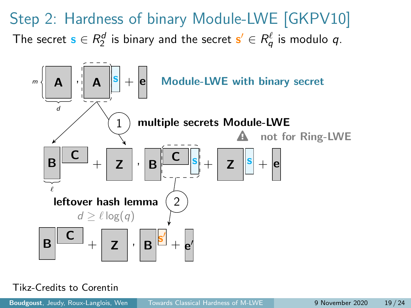

#### Tikz-Credits to Corentin

Boudgoust, Jeudy, Roux-Langlois, Wen [Towards Classical Hardness of M-LWE](#page-0-0) 9 November 2020 19/24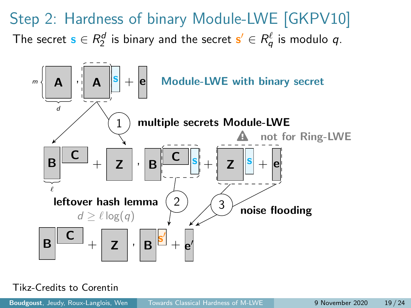

#### Tikz-Credits to Corentin

Boudgoust, Jeudy, Roux-Langlois, Wen [Towards Classical Hardness of M-LWE](#page-0-0) 9 November 2020 19 / 24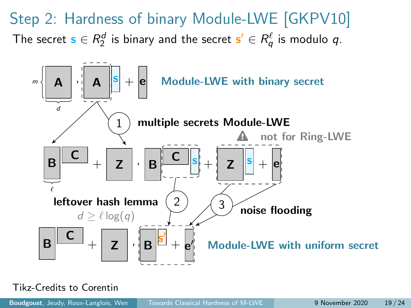

Tikz-Credits to Corentin

Boudgoust, Jeudy, Roux-Langlois, Wen [Towards Classical Hardness of M-LWE](#page-0-0) 9 November 2020 19/24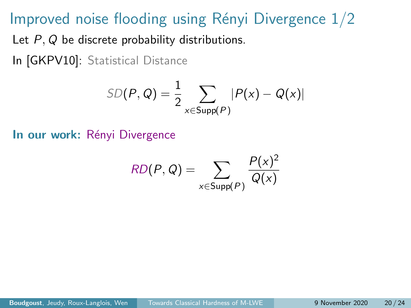#### Improved noise flooding using Rényi Divergence  $1/2$

Let P, Q be discrete probability distributions.

In [\[GKPV10\]](#page-56-4): Statistical Distance

$$
SD(P, Q) = \frac{1}{2} \sum_{x \in Supp(P)} |P(x) - Q(x)|
$$

In our work: Rényi Divergence

$$
RD(P,Q) = \sum_{x \in \text{Supp}(P)} \frac{P(x)^2}{Q(x)}
$$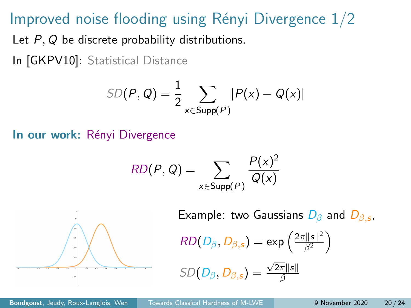#### Improved noise flooding using Rényi Divergence  $1/2$

Let P, Q be discrete probability distributions.

In [\[GKPV10\]](#page-56-4): Statistical Distance

$$
SD(P, Q) = \frac{1}{2} \sum_{x \in \text{Supp}(P)} |P(x) - Q(x)|
$$

In our work: Rényi Divergence

$$
RD(P,Q) = \sum_{x \in \text{Supp}(P)} \frac{P(x)^2}{Q(x)}
$$



Example: two Gaussians  $D_{\beta}$  and  $D_{\beta,s}$ ,

$$
RD(D_{\beta}, D_{\beta,s}) = \exp\left(\frac{2\pi ||s||^2}{\beta^2}\right)
$$

$$
SD(D_{\beta}, D_{\beta,s}) = \frac{\sqrt{2\pi} \|s\|}{\beta}
$$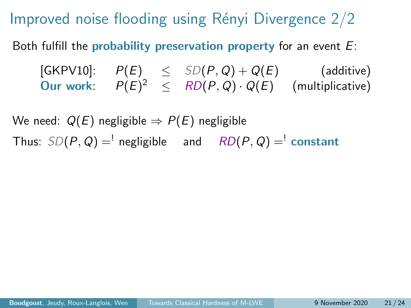Improved noise flooding using Rényi Divergence  $2/2$ 

Both fulfill the probability preservation property for an event  $E$ :

[\[GKPV10\]](#page-56-4):  $P(E) \leq SD(P,Q) + Q(E)$  (additive) Our work:  $P(E)^2 \leq R D(P,Q) \cdot Q(E)$  (multiplicative)

We need:  $Q(E)$  negligible  $\Rightarrow P(E)$  negligible Thus:  $SD(P, Q) =$ <sup>'</sup> negligible and  $RD(P, Q) =$ <sup>'</sup> constant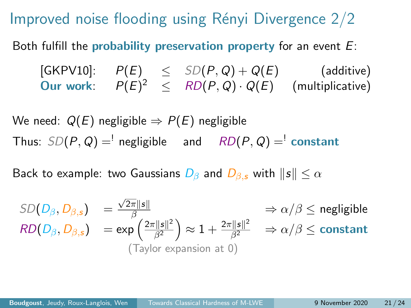Improved noise flooding using Rényi Divergence  $2/2$ 

Both fulfill the probability preservation property for an event  $E$ :

[\[GKPV10\]](#page-56-4):  $P(E) \leq SD(P,Q) + Q(E)$  (additive) Our work:  $P(E)^2 \leq R D(P,Q) \cdot Q(E)$  (multiplicative)

We need:  $Q(E)$  negligible  $\Rightarrow P(E)$  negligible Thus:  $SD(P, Q) =$ <sup>'</sup> negligible and  $RD(P, Q) =$ <sup>'</sup> constant

Back to example: two Gaussians  $D_\beta$  and  $D_\beta$ , with  $\|s\| \leq \alpha$ 

$$
SD(D_{\beta}, D_{\beta,s}) = \frac{\sqrt{2\pi} \|s\|}{\beta} \implies \alpha/\beta \le \text{negligible}
$$
  
\n
$$
RD(D_{\beta}, D_{\beta,s}) = \exp\left(\frac{2\pi \|s\|^2}{\beta^2}\right) \approx 1 + \frac{2\pi \|s\|^2}{\beta^2} \implies \alpha/\beta \le \text{constant}
$$
  
\n(Taylor expansion at 0)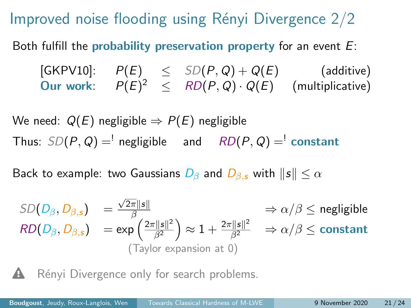Improved noise flooding using Rényi Divergence  $2/2$ 

Both fulfill the probability preservation property for an event  $E$ :

 $[\mathsf{GKPV10}]: \quad P(E) \quad\leq\quad SD(P,Q) + Q(E) \qquad\qquad\text{(additive)}$ Our work:  $P(E)^2 \leq R D(P,Q) \cdot Q(E)$  (multiplicative)

We need:  $Q(E)$  negligible  $\Rightarrow P(E)$  negligible Thus:  $SD(P, Q) =$ <sup>'</sup> negligible and  $RD(P, Q) =$ <sup>'</sup> constant

Back to example: two Gaussians  $D_\beta$  and  $D_\beta$ , with  $\|s\| \leq \alpha$ 

$$
SD(D_{\beta}, D_{\beta,s}) = \frac{\sqrt{2\pi} \|s\|}{\beta} \implies \alpha/\beta \le \text{negligible}
$$
  
\n
$$
RD(D_{\beta}, D_{\beta,s}) = \exp\left(\frac{2\pi \|s\|^2}{\beta^2}\right) \approx 1 + \frac{2\pi \|s\|^2}{\beta^2} \implies \alpha/\beta \le \text{constant}
$$
  
\n(Taylor expansion at 0)

Rényi Divergence only for search problems.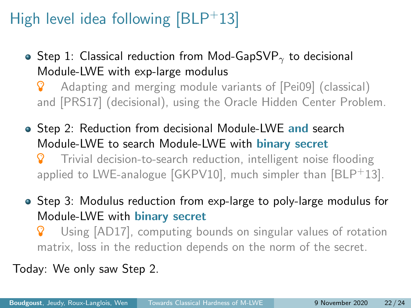- Step 1: Classical reduction from Mod-GapSVP<sub> $\gamma$ </sub> to decisional Module-LWE with exp-large modulus
	- **8** Adapting and merging module variants of [\[Pei09\]](#page-56-1) (classical) and [\[PRS17\]](#page-57-1) (decisional), using the Oracle Hidden Center Problem.
- Step 2: Reduction from decisional Module-LWE and search Module-LWE to search Module-LWE with binary secret Trivial decision-to-search reduction, intelligent noise flooding applied to LWE-analogue  $[GKPV10]$ , much simpler than  $[BLP<sup>+</sup>13]$  $[BLP<sup>+</sup>13]$ .
- Step 3: Modulus reduction from exp-large to poly-large modulus for Module-LWE with binary secret
	- Using [\[AD17\]](#page-56-5), computing bounds on singular values of rotation matrix, loss in the reduction depends on the norm of the secret.

Today: We only saw Step 2.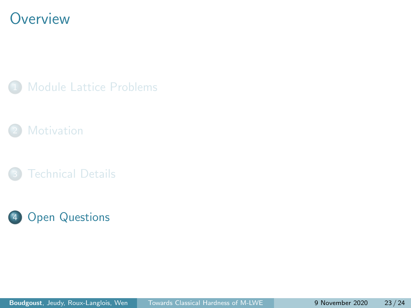#### <span id="page-53-0"></span>**Overview**

[Module Lattice Problems](#page-9-0)



**[Technical Details](#page-35-0)** 

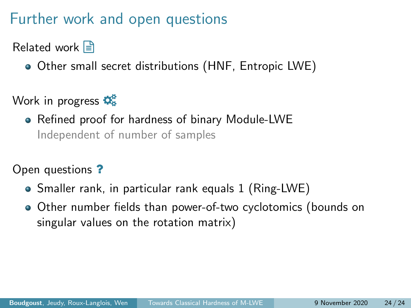#### Further work and open questions

Related work  $\Box$ 

Other small secret distributions (HNF, Entropic LWE)

Work in progress  $\mathbf{\ddot{Q}_8}^2$ 

Refined proof for hardness of binary Module-LWE Independent of number of samples

Open questions ?

- Smaller rank, in particular rank equals 1 (Ring-LWE)
- Other number fields than power-of-two cyclotomics (bounds on singular values on the rotation matrix)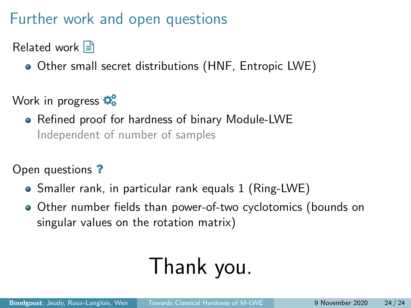### Further work and open questions

Related work  $\Box$ 

Other small secret distributions (HNF, Entropic LWE)

Work in progress  $\mathbf{\ddot{Q}_8}^2$ 

Refined proof for hardness of binary Module-LWE Independent of number of samples

Open questions ?

- Smaller rank, in particular rank equals 1 (Ring-LWE)
- Other number fields than power-of-two cyclotomics (bounds on singular values on the rotation matrix)

# Thank you.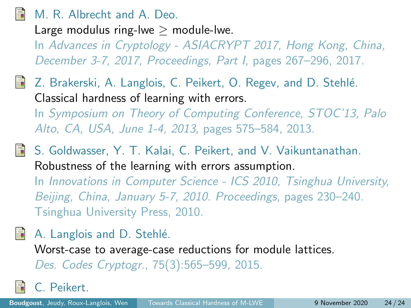#### <span id="page-56-5"></span><span id="page-56-0"></span>M. R. Albrecht and A. Deo.

Large modulus ring-lwe  $>$  module-lwe.

In Advances in Cryptology - ASIACRYPT 2017, Hong Kong, China, December 3-7, 2017, Proceedings, Part I, pages 267–296, 2017.

- <span id="page-56-2"></span>Z. Brakerski, A. Langlois, C. Peikert, O. Regev, and D. Stehlé. Classical hardness of learning with errors. In Symposium on Theory of Computing Conference, STOC'13, Palo Alto, CA, USA, June 1-4, 2013, pages 575–584, 2013.
- <span id="page-56-4"></span>S. Goldwasser, Y. T. Kalai, C. Peikert, and V. Vaikuntanathan. Robustness of the learning with errors assumption. In Innovations in Computer Science - ICS 2010, Tsinghua University, Beijing, China, January 5-7, 2010. Proceedings, pages 230–240.

Tsinghua University Press, 2010.

<span id="page-56-3"></span>A. Langlois and D. Stehlé.

Worst-case to average-case reductions for module lattices. Des. Codes Cryptogr., 75(3):565–599, 2015.

<span id="page-56-1"></span>C. Peikert.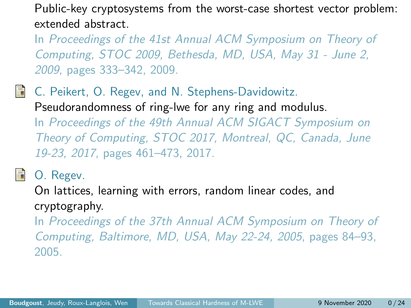Public-key cryptosystems from the worst-case shortest vector problem: extended abstract.

In Proceedings of the 41st Annual ACM Symposium on Theory of Computing, STOC 2009, Bethesda, MD, USA, May 31 - June 2, 2009, pages 333–342, 2009.

<span id="page-57-1"></span>量 C. Peikert, O. Regev, and N. Stephens-Davidowitz. Pseudorandomness of ring-lwe for any ring and modulus. In Proceedings of the 49th Annual ACM SIGACT Symposium on Theory of Computing, STOC 2017, Montreal, QC, Canada, June 19-23, 2017, pages 461–473, 2017.

<span id="page-57-0"></span>

O. Regev.

On lattices, learning with errors, random linear codes, and cryptography.

In Proceedings of the 37th Annual ACM Symposium on Theory of Computing, Baltimore, MD, USA, May 22-24, 2005, pages 84–93, 2005.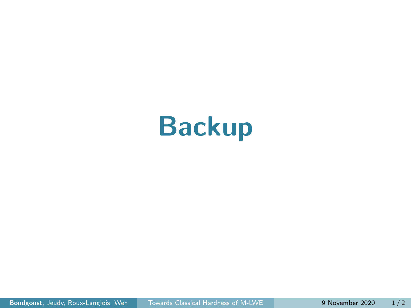# Backup